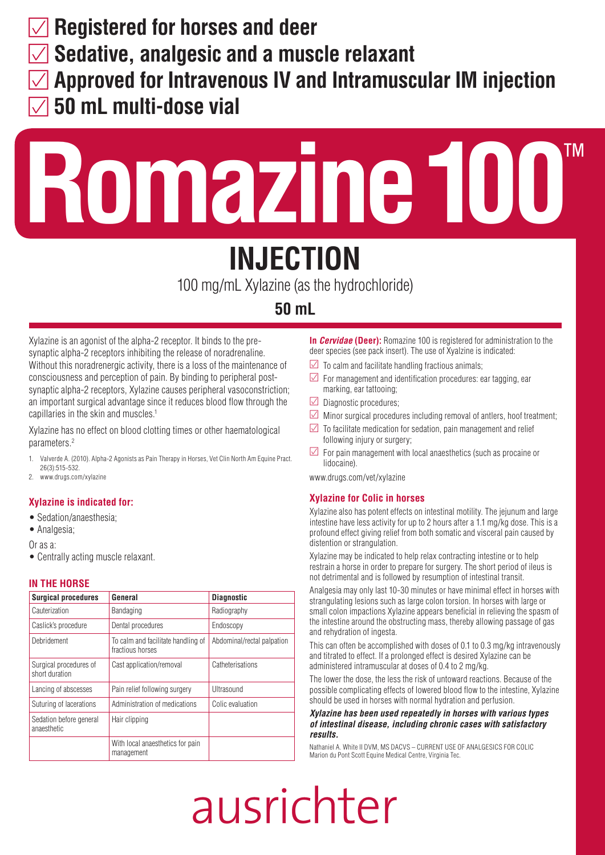**Registered for horses and deer**

**Sedative, analgesic and a muscle relaxant** 

- **Approved for Intravenous IV and Intramuscular IM injection**
- **50 mL multi-dose vial**

# **Romazine100**™

## **INJECTION**

100 mg/mL Xylazine (as the hydrochloride)

#### **50 mL**

Xylazine is an agonist of the alpha-2 receptor. It binds to the presynaptic alpha-2 receptors inhibiting the release of noradrenaline. Without this noradrenergic activity, there is a loss of the maintenance of consciousness and perception of pain. By binding to peripheral postsynaptic alpha-2 receptors, Xylazine causes peripheral vasoconstriction; an important surgical advantage since it reduces blood flow through the capillaries in the skin and muscles.<sup>1</sup>

Xylazine has no effect on blood clotting times or other haematological parameters.2

- 1. Valverde A. (2010). Alpha-2 Agonists as Pain Therapy in Horses, Vet Clin North Am Equine Pract. 26(3):515-532.
- 2. www.drugs.com/xylazine

#### **Xylazine is indicated for:**

- Sedation/anaesthesia:
- Analgesia;

Or as a:

• Centrally acting muscle relaxant.

#### **IN THE HORSE**

| <b>Surgical procedures</b>               | General                                                | <b>Diagnostic</b>          |
|------------------------------------------|--------------------------------------------------------|----------------------------|
| Cauterization                            | Bandaging                                              | Radiography                |
| Caslick's procedure                      | Dental procedures                                      | Endoscopy                  |
| Debridement                              | To calm and facilitate handling of<br>fractious horses | Abdominal/rectal palpation |
| Surgical procedures of<br>short duration | Catheterisations<br>Cast application/removal           |                            |
| Lancing of abscesses                     | Pain relief following surgery                          | Ultrasound                 |
| Suturing of lacerations                  | Administration of medications                          | Colic evaluation           |
| Sedation before general<br>anaesthetic   | Hair clipping                                          |                            |
|                                          | With local anaesthetics for pain<br>management         |                            |

**In** *Cervidae* **(Deer):** Romazine 100 is registered for administration to the deer species (see pack insert). The use of Xyalzine is indicated:

- $\triangledown$  To calm and facilitate handling fractious animals;
- $\triangledown$  For management and identification procedures: ear tagging, ear marking, ear tattooing;
- $\Box$  Diagnostic procedures;
- $\triangleright$  Minor surgical procedures including removal of antlers, hoof treatment;
- $\triangledown$  To facilitate medication for sedation, pain management and relief following injury or surgery;
- $\triangleright$  For pain management with local anaesthetics (such as procaine or lidocaine).

www.drugs.com/vet/xylazine

#### **Xylazine for Colic in horses**

Xylazine also has potent effects on intestinal motility. The jejunum and large intestine have less activity for up to 2 hours after a 1.1 mg/kg dose. This is a profound effect giving relief from both somatic and visceral pain caused by distention or strangulation.

Xylazine may be indicated to help relax contracting intestine or to help restrain a horse in order to prepare for surgery. The short period of ileus is not detrimental and is followed by resumption of intestinal transit.

Analgesia may only last 10-30 minutes or have minimal effect in horses with strangulating lesions such as large colon torsion. In horses with large or small colon impactions Xylazine appears beneficial in relieving the spasm of the intestine around the obstructing mass, thereby allowing passage of gas and rehydration of ingesta.

This can often be accomplished with doses of 0.1 to 0.3 mg/kg intravenously and titrated to effect. If a prolonged effect is desired Xylazine can be administered intramuscular at doses of 0.4 to 2 mg/kg.

The lower the dose, the less the risk of untoward reactions. Because of the possible complicating effects of lowered blood flow to the intestine, Xylazine should be used in horses with normal hydration and perfusion.

#### *Xylazine has been used repeatedly in horses with various types of intestinal disease, including chronic cases with satisfactory results.*

Nathaniel A. White II DVM, MS DACVS – CURRENT USE OF ANALGESICS FOR COLIC Marion du Pont Scott Equine Medical Centre, Virginia Tec.

## ausrichter